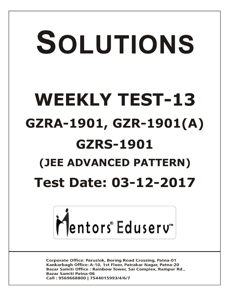# SOLUTIONS **WEEKLY TEST-13 GZRA-1901, GZR-1901(A) GZRS-1901 (JEE ADVANCED PATTERN) Test Date: 03-12-2017**



**Corporate Office: Paruslok, Boring Road Crossing, Patna-01** Kankarbagh Office: A-10, 1st Floor, Patrakar Nagar, Patna-20 Bazar Samiti Office: Rainbow Tower, Sai Complex, Rampur Rd., **Bazar Samiti Patna-06** Call: 9569668800 | 7544015993/4/6/7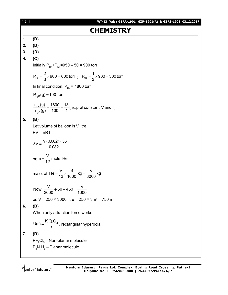# [ **2** ] **WT-13 (Adv) GZRA-1901, GZR-1901(A) & GZRS-1901\_03.12.2017 CHEMISTRY 1. (D) 2. (D) 3. (D) 4. (C)** Initially  $P_{He}+P_{Ne}=950-50=900$  torr He  $P_{He} = \frac{2}{3} \times 900 = 600$  torr  $=$   $\frac{2}{3}$   $\times$  900  $=$  600 torr  $\,$ ; P<sub>Ne</sub>  $=$   $\frac{1}{3}$   $\times$  900  $=$  300 torr 3  $=\frac{1}{2} \times 900 = 3$ In final condition,  $P_{He} = 1800$  torr  $\mathsf{P}_{\mathsf{H}_2\mathsf{O}}(\mathsf{g})$  = 100 torr 2 He  $H_2O$  $\frac{n_{\text{He}}(g)}{n} = \frac{1800}{180} = \frac{18}{1}$  [n  $\alpha$  p at constant V and T]  $n_{H_0}$  (g) 100 1  $=\frac{1000}{100}=\frac{10}{1}$  [n  $\alpha$  ] **5. (B)** Let volume of balloon is V litre  $PV = nRT$  $3V = \frac{n \times 0.0821 \times 36}{0.0001}$ 0.0821  $=\frac{n\times 0.0821\times 3}{0.0004}$ or,  $n = \frac{V}{10}$  mole He 12  $=$ mass of He =  $\frac{V}{40} \times \frac{4}{1000}$  kg =  $\frac{V}{0000}$  kg 12 1000 <sup>3</sup> 3000  $=\frac{1}{10} \times \frac{1}{1000}$  kg = -Now,  $\frac{V}{2000}$  + 50 + 450 =  $\frac{V}{100}$ 3000 1000  $+50+450=$ or, V = 250  $\times$  3000 litre = 250  $\times$  3m<sup>3</sup> = 750 m<sup>3</sup> **6. (B)** When only attraction force works  $U(r) = \frac{K Q_{1} Q_{2}}{S_{1}}$  $=\frac{R\cdot Q}{r^2}$ , rectangular hyperbola **7. (D)**  $\mathsf{PF}_2\mathsf{CI}_3$  – Non-planar molecule  $\mathsf{B}_{\mathsf{3}}\mathsf{N}_{\mathsf{3}}\mathsf{H}_{\mathsf{6}}$  – Planar molecule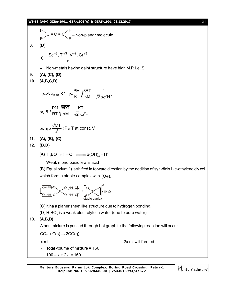# **WT-13 (Adv) GZRA-1901, GZR-1901(A) & GZRS-1901\_03.12.2017** [ **3** ]

F  
\n
$$
\int_{F}^{F} C = C = C' \int_{F}^{F} - \text{Non-planar molecule}
$$
\n8. **(D)**\n
$$
\int_{0}^{F} C^{-1} \int_{0}^{F} \int_{0}^{F} \int_{0}^{F} \int_{0}^{F} \int_{0}^{F} \int_{0}^{F} \int_{0}^{F} \int_{0}^{F} \int_{0}^{F} \int_{0}^{F} \int_{0}^{F} \int_{0}^{F} \int_{0}^{F} \int_{0}^{F} \int_{0}^{F} \int_{0}^{F} \int_{0}^{F} \int_{0}^{F} \int_{0}^{F} \int_{0}^{F} \int_{0}^{F} \int_{0}^{F} \int_{0}^{F} \int_{0}^{F} \int_{0}^{F} \int_{0}^{F} \int_{0}^{F} \int_{0}^{F} \int_{0}^{F} \int_{0}^{F} \int_{0}^{F} \int_{0}^{F} \int_{0}^{F} \int_{0}^{F} \int_{0}^{F} \int_{0}^{F} \int_{0}^{F} \int_{0}^{F} \int_{0}^{F} \int_{0}^{F} \int_{0}^{F} \int_{0}^{F} \int_{0}^{F} \int_{0}^{F} \int_{0}^{F} \int_{0}^{F} \int_{0}^{F} \int_{0}^{F} \int_{0}^{F} \int_{0}^{F} \int_{0}^{F} \int_{0}^{F} \int_{0}^{F} \int_{0}^{F} \int_{0}^{F} \int_{0}^{F} \int_{0}^{F} \int_{0}^{F} \int_{0}^{F} \int_{0}^{F} \int_{0}^{F} \int_{0}^{F} \int_{0}^{F} \int_{0}^{F} \int_{0}^{F} \int_{0}^{F} \int_{0}^{F} \int_{0}^{F} \int_{0}^{F} \int_{0}^{F} \int_{0}^{F} \int_{0}^{F} \int_{0}^{F} \int_{0}^{F} \int_{0}^{F} \int_{0}^{F} \int_{0}^{F} \int_{0}^{F} \int_{0}^{F} \int_{0}^{F} \int_{0}^{F} \int_{0}^{F} \int_{0}^{F} \int_{0}^{F} \int_{0}^{F} \int_{0}^{F} \int_{0}^{F
$$

Mentors<sup>e</sup> Eduserv<sup>-</sup>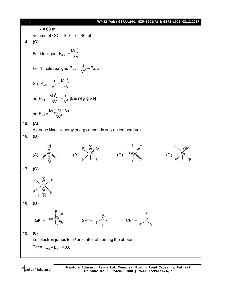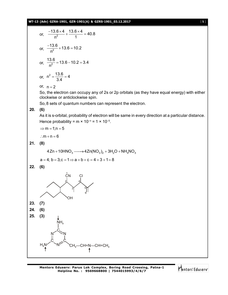## **WT-13 (Adv) GZRA-1901, GZR-1901(A) & GZRS-1901\_03.12.2017** [ **5** ]

or, 
$$
\frac{-13.6 \times 4}{n^2} + \frac{13.6 \times 4}{1} = 40.8
$$
  
or, 
$$
\frac{-13.6}{n^2} + 13.6 = 10.2
$$
  
or, 
$$
\frac{13.6}{n^2} = 13.6 - 10.2 = 3.4
$$
  
or, 
$$
n^2 = \frac{13.6}{2.4} = 4
$$

or,  $n = 2$ 

3.4

So, the electron can occupy any of 2s or 2p orbitals (as they have equal energy) with either clockwise or anticlockwise spin.

So,8 sets of quantum numbers can represent the electron.

## **20. (6)**

As it is s-orbital, probability of electron will be same in every direction at a particular distance. Hence probability =  $m \times 10^{-n}$  = 1  $\times$  10<sup>-5</sup>.

$$
\Rightarrow m=1; n=5
$$

: $m + n = 6$ 

**21. (8)**

$$
4\text{ Zn} + 10\text{HNO}_3 \longrightarrow 4\text{Zn}(\text{NO}_3)_2 + 3\text{H}_2\text{O} + \text{NH}_4\text{NO}_3
$$

$$
a = 4; b = 3; c = 1 \Rightarrow a + b + c = 4 + 3 + 1 = 8
$$

**22. (6)**

![](_page_4_Figure_13.jpeg)

Mentors<sup>e</sup> Eduserv<sup>-</sup>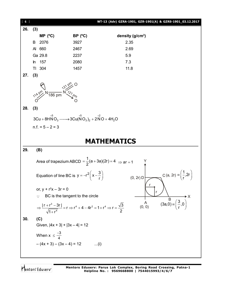![](_page_5_Figure_0.jpeg)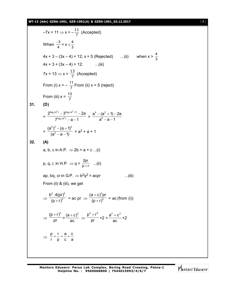## **WT-13 (Adv) GZRA-1901, GZR-1901(A) & GZRS-1901\_03.12.2017** [ **7** ]

$$
-7x = 11 \Rightarrow x = -\frac{11}{7} \text{ (Accepted)}
$$
  
\nWhen  $\frac{-3}{4} < x \le \frac{4}{3}$   
\n $4x + 3 - (3x - 4) = 12; x = 5 \text{ (Rejected)} .... (ii)$  when  $x > \frac{4}{3}$   
\n $4x + 3 + (3x - 4) = 12; .... (iii)$   
\n $7x = 13 \Rightarrow x = \frac{13}{7} \text{ (Accepted)}$   
\nFrom (i)  $x = -\frac{11}{7} \text{ From (ii) } x = 5 \text{ (reject)}$   
\nFrom (iii)  $x = \frac{13}{7}$   
\n31. **(D)**  
\n
$$
= \frac{2^{\log_2(a^4)} - 3^{\log_3(a^2 + 1)} - 2a}{7^{\log_3(a^2)} - a - 1} = \frac{a^4 - (a^2 + 1) - 2a}{a^2 - a - 1}
$$
  
\n
$$
= \frac{(a^2)^2 - (a + 1)^2}{(a^2 - a - 1)} = a^2 + a + 1
$$
\n32. **(A)**  
\na, b, c in A.P.  $\Rightarrow 2b = a + c ... (i)$   
\np, q, r, in H.P.  $\Rightarrow q = \frac{2pr}{p+r} ....(ii)$   
\nap, bq, cr in G.P.  $\Rightarrow b^2q^2 = acpr$  ...(iii)  
\nFrom (ii) & (iii), we get  
\n
$$
\Rightarrow \frac{b^2 \cdot 4(pr)^2}{(p+r)^2} = ac pr \Rightarrow \frac{(a+c)^2pr}{(p+r)^2} = ac \text{ (from (i))}
$$
  
\n
$$
\Rightarrow \frac{p}{pr} + \frac{r}{p} = \frac{a}{c} + \frac{c}{a}
$$
  
\n
$$
\Rightarrow \frac{p}{r} + \frac{r}{p} = \frac{a}{c} + \frac{c}{a}
$$

Mentors<sup>e</sup> Eduserv<sup>-</sup>

 $\frac{4}{3}$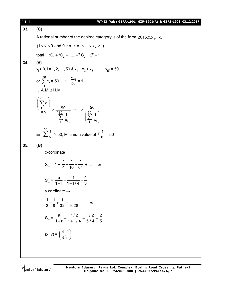| $[ 8 ]$ | WT-13 (Adv) GZRA-1901, GZR-1901(A) & GZRS-1901_03.12.2017                                                                                                                       |
|---------|---------------------------------------------------------------------------------------------------------------------------------------------------------------------------------|
| 33.     | (C)                                                                                                                                                                             |
|         | A rational number of the desired category is of the form 2015. $x_1x_2x_k$                                                                                                      |
|         | $(1 \le K \le 9$ and $9 \ge x_1 > x_2 >  > x_k \ge 1)$                                                                                                                          |
|         | total = ${}^{9}C_{1}$ + ${}^{9}C_{2}$ +  + ${}^{9}C_{9}$ = $2^{9}$ - 1                                                                                                          |
| 34.     | (A)                                                                                                                                                                             |
|         | $x_1 > 0$ , i = 1, 2, , 50 & $x_1 + x_2 + x_3 +$ + $x_{50} = 50$                                                                                                                |
|         | or $\sum_{i=1}^{50} x_i = 50$ $\Rightarrow$ $\frac{\sum x_i}{50} = 1$<br>$\therefore$ A.M. $\geq$ H.M.                                                                          |
|         | $\left(\frac{\sum_{i=1}^{50} x_i}{50}\right) \ge \frac{50}{\left(\sum_{i=1}^{50} \frac{1}{x_i}\right)} \Rightarrow 1 \ge \frac{50}{\left(\sum_{i=1}^{50} \frac{1}{x_i}\right)}$ |
|         | $\Rightarrow \sum_{i=1}^{50} \frac{1}{x_i} \ge 50$ , Minimum value of $\Sigma \frac{1}{x_i} = 50$                                                                               |
| 35.     | (B)                                                                                                                                                                             |
|         | x-cordinate                                                                                                                                                                     |
|         | $S_{\infty} = 1 + \frac{1}{4} + \frac{1}{16} + \frac{1}{64} + \dots \infty$                                                                                                     |
|         | $S_{\infty} = \frac{a}{1-r} = \frac{1}{1-1/a} = \frac{4}{3}$                                                                                                                    |
|         | y cordinate $\rightarrow$                                                                                                                                                       |
|         | $\frac{1}{2} - \frac{1}{8} + \frac{1}{32} - \frac{1}{1028}$ $\infty$                                                                                                            |
|         | $S_{\infty} = \frac{a}{1-r} = \frac{1/2}{1+1/4} = \frac{1/2}{5/4} = \frac{2}{5}$                                                                                                |
|         | $(x, y) = \left(\frac{4}{3}, \frac{2}{5}\right)$                                                                                                                                |
|         |                                                                                                                                                                                 |

Mentors<sup>®</sup> Eduserv<sup>®</sup>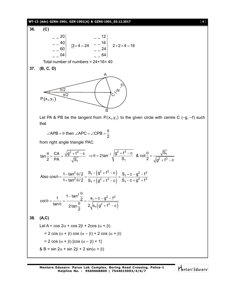## **WT-13 (Adv) GZRA-1901, GZR-1901(A) & GZRS-1901\_03.12.2017** [ **9** ]

36. (C)  
\n
$$
\begin{array}{c|c}\n-20 \\
-40 \\
-60 \\
-04\n\end{array}\n\quad\n\begin{array}{c|c}\n-12 \\
3 \times 4 = 24 & -16 \\
-24 & -24 \\
-64\n\end{array}\n\quad\n2 \times 2 \times 4 = 16
$$

Total number of numbers = 24+16= 40

**37. (B, C, D)**

![](_page_8_Figure_4.jpeg)

Let PA & PB be the tangent from  $P(x_1, y_1)$  to the given circle with centre C (-g, -f) such that

$$
\angle
$$
APB =  $\theta$  then  $\angle$ APC =  $\angle$ CPB =  $\frac{\theta}{2}$ 

from right angle triangle PAC

$$
\tan\frac{\theta}{2}=\frac{CA}{PA}=\frac{\sqrt{g^2+f^2-c}}{\sqrt{S_1}}\ \ \Rightarrow \theta=2\tan^{-1}\sqrt{\frac{g^2+f^2-c}{S_1}}\ \ \&\ \ \cot\frac{\theta}{2}=\frac{\sqrt{S_1}}{\sqrt{g^2+f^2-c}}
$$

Also 
$$
\cos \theta = \frac{1 - \tan^2 \theta / 2}{1 + \tan^2 \theta / 2} = \frac{S_1 - (g^2 + f^2 - c)}{S_1 + (g^2 + f^2 - c)} = \frac{S_1 + c - g^2 - f^2}{S_1 - c + g^2 + f^2}
$$

$$
\cot \theta = \frac{1}{\tan \theta} = \frac{1 - \tan^2 \frac{\theta}{2}}{2 \tan \frac{\theta}{2}} = \frac{s_1 + c - g^2 - f^2}{2 \sqrt{s_1 (g^2 + f^2 - c)}}
$$

**38. (A,C)**

Let A = cos 2
$$
\alpha
$$
 + cos 2 $\beta$  + 2cos ( $\alpha$  +  $\beta$ )  
= 2 cos ( $\alpha$  +  $\beta$ ) cos ( $\alpha$  -  $\beta$ ) + 2 cos ( $\alpha$  +  $\beta$ )  
= 2 cos ( $\alpha$  +  $\beta$ ) [cos ( $\alpha$  -  $\beta$ ) + 1]  
& B = sin 2 $\alpha$  + sin 2 $\beta$  + 2 sin( $\alpha$  +  $\beta$ )

Mentors<sup>e</sup> Eduserv<sup>®</sup>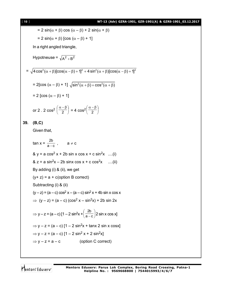$$
[10]
$$

## [ **10** ] **WT-13 (Adv) GZRA-1901, GZR-1901(A) & GZRS-1901\_03.12.2017**

$$
= 2 \sin(\alpha + \beta) \cos(\alpha - \beta) + 2 \sin(\alpha + \beta)
$$
\n
$$
= 2 \sin(\alpha + \beta) [\cos(\alpha - \beta) + 1]
$$
\nIn a right-angled triangle,  
\nHypotheuse =  $\sqrt{A^2 + B^2}$   
\n
$$
= \sqrt{4 \cos^2(\alpha + \beta) [\cos(\alpha - \beta) + 1]^2 + 4 \sin^2(\alpha + \beta) [\cos(\alpha - \beta) + 1]^2}
$$
\n
$$
= 2[\cos(\alpha - \beta) + 1] \sqrt{\sin^2(\alpha + \beta) + \cos^2(\alpha + \beta)}
$$
\n
$$
= 2[\cos(\alpha - \beta) + 1]
$$
\nor 2. 2 cos<sup>2</sup>  $\left(\frac{\alpha - \beta}{2}\right)$  = 4 cos<sup>2</sup>  $\left(\frac{\alpha - \beta}{2}\right)$   
\n39. (B,C)  
\nGiven that,  
\ntan  $x = \frac{2b}{a-c}$ ,  $a \ne c$   
\n& y = a cos<sup>2</sup> x + 2b sin x cos x + c sin<sup>2</sup>x ....(i)  
\n& z = a sin<sup>2</sup>x - 2b sin x cos x + c cos<sup>2</sup>x ....(ii)  
\nBy adding (i) & (ii), we get  
\n(y + z) = a + c(option B correct)  
\nSubtracting (i) & (iii)  
\n(y - z) = (a - c) cos<sup>2</sup> x - (a - c) sin<sup>2</sup> x + 4b sin x cos x  
\n
$$
\Rightarrow (y - z) = (a - c) [1 - 2 sin2 x + \left(\frac{2b}{a-c}\right) 2 sin x cos x]
$$
\n
$$
\Rightarrow y - z = (a - c) [1 - 2 sin2 x + tan x 2 sin x cos x]
$$
\n
$$
\Rightarrow y - z = (a - c) [1 - 2 sin2 x + 2 sin2 x]
$$
\n
$$
\Rightarrow y - z = a - c
$$
 (option C correct)

Mentors<sup>e</sup> Eduserv<sup>-</sup>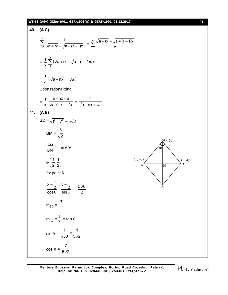## **WT-13 (Adv) GZRA-1901, GZR-1901(A) & GZRS-1901\_03.12.2017** [ **11** ]

40. (A, C)  
\n
$$
\sum_{r=1}^{n} \frac{1}{\sqrt{a+r}x + \sqrt{a+(r-1)x}} = \sum_{r=1}^{n} \frac{\sqrt{a+r}x - \sqrt{a+(r-1)x}}{x}
$$
\n
$$
= \frac{1}{x} \sum_{r=1}^{n} (\sqrt{a+r}x - \sqrt{a+(r-1)x})
$$
\n
$$
= \frac{1}{x} [\sqrt{a+r}x - \sqrt{a}]
$$
\nUpon rationalizing  
\n
$$
= \frac{1}{x} \frac{a + nx - a}{\sqrt{a+n}x + \sqrt{a}} = \frac{n}{\sqrt{a+n}x + \sqrt{a}}
$$
\n41. (A,B)  
\n
$$
BD = \sqrt{p^2 + 7^2} = 5\sqrt{2}
$$
\n
$$
BM = \frac{5}{\sqrt{2}}
$$
\n
$$
\frac{AM}{BM} = \tan 60^\circ
$$
\n
$$
M\left(\frac{1}{2}, \frac{1}{2}\right)
$$
\nfor point A  
\n
$$
\frac{x-1}{\cos \theta} = \frac{y-1}{\sin \theta} = \pm \frac{5\sqrt{6}}{2}
$$
\n
$$
m_{BD} = \frac{7}{-1}
$$
\n
$$
m_{AC} = \frac{1}{7} = \tan \theta
$$
\n
$$
\sin \theta = \frac{1}{\sqrt{50}} = \frac{1}{5\sqrt{2}}
$$
\n
$$
\cos \theta = \frac{7}{5\sqrt{2}}
$$

Mentors<sup>e</sup> Eduserv<sup>-</sup>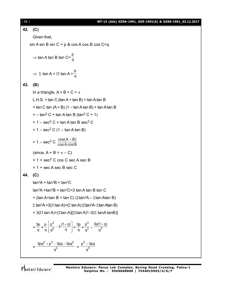17-13 (Adv) 67RA-1901, 67R-1901(A) & 67R5-1901 03.12.2017  
\n42. (C)  
\nGiven that,  
\nsin A sin B sin C = p & cos A cos B cos C=q  
\n⇒ tan A tan B tan C=
$$
\frac{p}{q}
$$
  
\n⇒ Σ tan A = II tan A =  $\frac{p}{q}$   
\n43. (B)  
\nIn a triangle, A + B + C = π  
\nL.H.S. = tan C (tan A + tan B) + tan A tan B  
\n= tan C tan (A + B) (1 – tan A tan B) + tan A tan B  
\n= - tan<sup>2</sup>C + tan A tan B (tan<sup>2</sup>C + 1)  
\n= 1 – sec<sup>2</sup>C + tan A tan B sec<sup>2</sup>C  
\n= 1 – sec<sup>2</sup>C (1 – tan A tan B)  
\n= 1 – sec<sup>2</sup>C (1 – tan A tan B)  
\n(since, A + B = π – C)  
\n= 1 + sec<sup>2</sup>C cos C sec A sec B  
\n= 1 + secA sec B sec C  
\n44. (C)  
\n $tan2A + tan3B + tan3C$   
\n $tan2A + tan3B + tan3C$   
\n $= 3(π tan A + tan B + tan C) (2 tan2A – 2tan A tan B)$   
\n $\ge tan3A - tan3B + tan3C – 3 tan A tan B tan C\n+ (tan A + tan B + tan C) (2tan2A – 2tan Atan B)\n= 3(π tan A) + (2 tan A)(2tan A)2 – 3(2 tan A tan B)\n= 3(π tan A) + (2 tan A)[(2 tan A)2 – 3(2 tan A tan B)]\n=  $\frac{3p}{q} + \frac{p}{q} [\frac{p^2}{q^2} - 3\frac{(1+q)}{q}] = \frac{3p}{q} + \frac{p^3}{q^2} - \frac{3p(1+q)}{q^2}$$ 

$$
=\frac{3pq^2+p^3-3pq-3pq^2}{q^3}=\frac{p^3-3pq}{q^3}
$$

Mentors<sup>®</sup> Eduserv<sup>®</sup>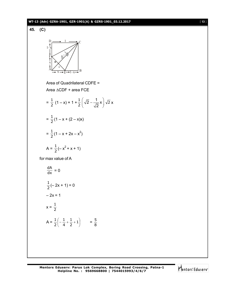### **WT-13 (Adv) GZRA-1901, GZR-1901(A) & GZRS-1901\_03.12.2017** [ **13** ]

![](_page_12_Figure_1.jpeg)

![](_page_12_Picture_3.jpeg)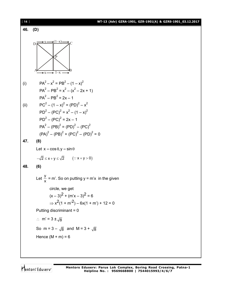| $[14]$ | WT-13 (Adv) GZRA-1901, GZR-1901(A) & GZRS-1901_03.12.2017                             |
|--------|---------------------------------------------------------------------------------------|
| 46.    | (D)                                                                                   |
|        | $(1-x)$<br>$\overline{C}$<br>D                                                        |
| (i)    | $PA^{2} - x^{2} = PB^{2} - (1 - x)^{2}$                                               |
|        | $PA^{2} - PB^{2} = x^{2} - (x^{2} - 2x + 1)$                                          |
|        | $PA^{2} - PB^{2} = 2x - 1$                                                            |
| (ii)   | $PC^{2} - (1 - x)^{2} = (PD)^{2} - x^{2}$<br>$PD2 - (PC)2 = x2 - (1 - x)2$            |
|        | $PD2 - (PC)2 = 2x - 1$                                                                |
|        | $PA^{2} - (PB)^{2} = (PD)^{2} - (PC)^{2}$                                             |
|        | $(PA)^{2} - (PB)^{2} + (PC)^{2} - (PD)^{2} = 0$                                       |
| 47.    | (8)                                                                                   |
|        | Let $x = \cos \theta$ , $y = \sin \theta$                                             |
|        | $-\sqrt{2} \le x + y \le \sqrt{2}$ $(\because x + y > 0)$                             |
| 48.    | (6)                                                                                   |
|        | Let $\frac{y}{y}$ = m'. So on putting y = m'x in the given                            |
|        | circle, we get                                                                        |
|        | $(x-3)^2 + (m'x - 3)^2 = 6$                                                           |
|        | $\Rightarrow$ x <sup>2</sup> (1 + m <sup>2</sup> ) – 6x(1 + m <sup>2</sup> ) + 12 = 0 |
|        | Putting discriminant = $0$                                                            |
|        | $\therefore$ m' = 3 $\pm \sqrt{8}$                                                    |
|        | So m = $3 - \sqrt{8}$ and M = $3 + \sqrt{8}$                                          |
|        | Hence $(M + m) = 6$                                                                   |
|        |                                                                                       |

Mentors<sup>e</sup> Eduserv<sup>-</sup>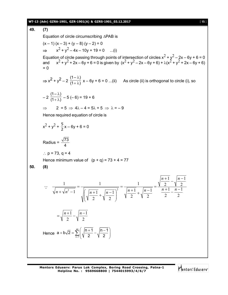#### **WT-13 (Adv) GZRA-1901, GZR-1901(A) & GZRS-1901\_03.12.2017** [ **15** ]

**49. (7)** Equation of circle circumscribing  $\triangle$ PAB is $(x - 1)(x - 3) + (y - 8)(y - 2) = 0$  $\Rightarrow$   $x^2 + y^2 - 4x - 10y + 19 = 0$  ...(i) Equation of circle passing through points of intersection of circles  $x^2 + y^2 - 2x - 6y + 6 = 0$ and  $x^2 + y^2 + 2x - 6y + 6 = 0$  is given by  $(x^2 + y^2 - 2x - 6y + 6) + \lambda(x^2 + y^2 + 2x - 6y + 6)$  $= 0$  $\Rightarrow$  x<sup>2</sup> + y<sup>2</sup> – 2  $(1-\lambda)$  $(1 + \lambda)$ λ  $\frac{1}{(1+\lambda)}$  x – 6y + 6 = 0 ...(ii) As circle (ii) is orthogonal to circle (i), so – 2  $(1-\lambda)$  $(1 + \lambda)$  $\lambda$  $\frac{1}{(1+\lambda)}$  – 5 (– 6) = 19 + 6  $\Rightarrow$  2 = 5  $\Rightarrow$  4 $\lambda$  – 4 = 5 $\lambda$  + 5  $\Rightarrow$   $\lambda$  = – 9 Hence required equation of circle is  $x^2 + y^2 + \frac{5}{2}$  $\frac{3}{2}x - 6y + 6 = 0$ Radius =  $\frac{\sqrt{73}}{4}$ ::  $p = 73$ ,  $q = 4$ Hence minimum value of  $(p + q) = 73 + 4 = 77$ **50. (8)**  $\ddot{\cdot}$ 2 1 2 1 2 1 2 1 2 1 2 1 1 2 1 2 1 1 1 1  $\frac{n+1}{2-1}$   $\sqrt{n+1}$   $\sqrt{n-1}$   $\left(\frac{n+1}{2} + \sqrt{n-1}\right)$   $\frac{n+1}{2} - \frac{n-1}{2}$  $\frac{+1}{2} - \sqrt{\frac{n-1}{2}}$  $=$  $\frac{+1}{2} + \sqrt{\frac{n-1}{2}}$  $=$  $\overline{\phantom{a}}$  $\bigg)$  $\setminus$  $\overline{\phantom{a}}$  $\setminus$  $\left(\sqrt{\frac{n+1}{2}}+\sqrt{\frac{n-1}{2}}\right)$  $=$  $\sqrt{n^2-1}$   $\sqrt{n+1}$   $\sqrt{n-1}$   $\sqrt{n+1}$   $\sqrt{n+1}$   $\sqrt{n-1}$   $\sqrt{n+1}$   $\sqrt{n+1}$  $n+1$  |*n*  $n + \sqrt{n^2 - 1}$   $\left( \sqrt{n+1} \sqrt{n-1} \right)^2$   $\sqrt{\frac{n+1}{n+1}} + \sqrt{\frac{n}{n+1}}$ 2 1 2  $=\sqrt{\frac{n+1}{2}-\sqrt{\frac{n-1}{2}}}$ Hence  $a+b\sqrt{2}=\sum^{49}$ n=1  $a + b\sqrt{2} = \sum_{n=1}^{49} \left( \sqrt{\frac{n+1}{n-1}} - \sqrt{\frac{n-1}{n-1}} \right)$  $\exists$ (V 2 V 2  $\left( \begin{array}{cc} |n+1| & |n-1| \end{array} \right)$  $+ b\sqrt{2} = \sum_{n=1}^{\infty} \left( \sqrt{\frac{n+1}{2}} - \sqrt{\frac{n-1}{2}} \right)$ 

Mentors<sup>®</sup> Eduserv<sup>®</sup>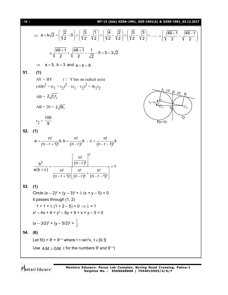[ **16** ] **WT-13 (Adv) GZRA-1901, GZR-1901(A) & GZRS-1901\_03.12.2017**  $( |2 \rangle ) ( |3 \rangle /1 ) ( |4 \rangle /2 ) ( |5 \rangle /3 )$  $\Rightarrow$  a + b  $\sqrt{2} = \left(\sqrt{\frac{2}{2}} - 0\right) + \left(\sqrt{\frac{3}{2}} - \sqrt{\frac{1}{2}}\right) + \left(\sqrt{\frac{4}{2}} - \sqrt{\frac{2}{2}}\right) + \left(\sqrt{\frac{5}{2}} - \sqrt{\frac{3}{2}}\right) + \dots$  $( |49+1 |49-1)$  $\cdots + \left( \sqrt{\frac{49+1}{2}} - \sqrt{\frac{49-1}{2}} \right)$  $+ b\sqrt{2} = \sqrt{\frac{2}{2}} - 0 + \sqrt{\frac{2}{2}} - \sqrt{\frac{1}{2}} + \sqrt{\frac{1}{2}} - \sqrt{\frac{2}{2}} + \sqrt{\frac{2}{2}} + \sqrt{\frac{2}{2}} + \cdots$  $+ \left| \sqrt{\frac{10+1}{2}} - \sqrt{\frac{10}{2}} \right|$ 2 J (V2 V2) (V2 V2) (V2 V2 2 2  $(YZ \t)/(YZ \tYZ) (YZ \tYZ) (YZ \tYZ)$  $(Y \leq Y \leq)$  $=\sqrt{\frac{49+1}{2}}+\sqrt{\frac{48+1}{2}}-\frac{1}{\sqrt{2}}-0=5+3\sqrt{2}$  $\frac{+1}{2} + \sqrt{\frac{48+1}{2} - \frac{1}{5}} - 0 = 5 + 3$ 2  $\sqrt{2}$   $\sqrt{2}$  $\Rightarrow$  a = 5, b = 3 and a + b = 8. **51. (1)**  $AY = BY$  (  $\because$  Y lies on radical axis)  $(AB)^2 = (r_1 + r_2)^2 - (r_1 - r_2)^2 = 4r_1r_2$  $\mathbb{Y}_{10}$  $\overline{B}$  $AB = 2\sqrt{r_1 r_2}$  $AB = 20 = 2\sqrt{9r_2}$ 100  $r_2 =$  $\overline{P(r=9)}$ 9 **52. (1)**  $a = \frac{n!}{(n-1)!}$ k, b =  $\frac{n!}{(n-1)!}$ k ; c =  $\frac{n!}{(n-1)!}$ k  $=$   $\frac{11}{(1 - 4)(1 + 5)}$ k, b =  $\frac{111}{(1 - 3)(1 + 5)}$ k; c = - $(n-r+1)!$   $(n-r)!$   $(n-r-1)$  $n-r+1$ !  $(n-r)!$   $(n-r-1)!$ -r+1)! (n-r)! (n-r-1 2  $\begin{bmatrix} n! \end{bmatrix}$ n!  $=\frac{\boxed{(n-r)!}}{2}$  = 1  $\frac{b^2}{2}$  =  $\frac{[(n-r)!]}{2}$  = 1 2  $(n-r)$ a b c n! n! n!  $(b+c)$ +c)  $\frac{n!}{(n-r+1)!} \frac{n!}{(n-r)!} + \frac{n!}{(n-r+1)!}$ n – r + 1)!| (n – r )! (n – r – 1)! |  $-r+1)!$   $[(n-r)!$   $(n-r-1)!$  $(n-r+1)! | (n-r)! | (n-r-1)$ **53. (1)** Circle  $(x - 2)^2 + (y - 3)^2 + \lambda (x + y - 5) = 0$ it passes through (1, 2)  $1 + 1 + \lambda (1 + 2 - 5) = 0 \Rightarrow \lambda = 1$  $x^2 - 4x + 4 + y^2 - 6y + 9 + x + y - 5 = 0$  $(x - 3/2)^2 + (y - 5/2)^2 = \frac{1}{2}$ **54. (6)** Let f(t) =  $9^t + 9^{1-t}$  where t = sin<sup>2</sup>x, t  $\in [0,1]$ Use  $A.M. \geq G.M.$  ( for the numbers  $9^t$  and  $9^{t-t}$ )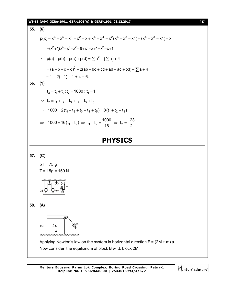![](_page_16_Figure_0.jpeg)

**Mentors Eduserv: Parus Lok Complex, Boring Road Crossing, Patna-1 Helpline No. : 9569668800 | 7544015993/4/6/7**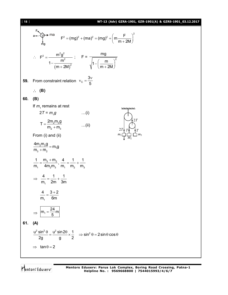![](_page_17_Figure_0.jpeg)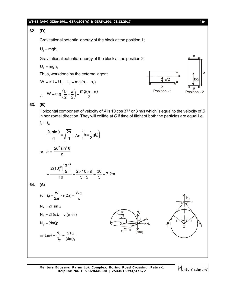## **WT-13 (Adv) GZRA-1901, GZR-1901(A) & GZRS-1901\_03.12.2017** [ **19** ]

**62. (D)**

Gravitational potential energy of the block at the position 1;

 $U_1 = mgh_1$ 

Gravitational potential energy of the block at the position 2,

$$
\boldsymbol{U}_2 = m g \boldsymbol{h}_2
$$

Thus, workdone by the external agent

$$
W = \Delta U = U_2 - U_1 = mg(h_2 - h_1)
$$

$$
\therefore \quad W = mg\left(\frac{b}{2} - \frac{a}{2}\right) = \frac{mg(b-a)}{2}
$$

![](_page_18_Figure_9.jpeg)

**63. (B)**

Horizontal component of velocity of *A* is 10 cos 37° or 8 m/s which is equal to the velocity of *B* in horizontal direction. They will collide at *C* if time of flight of both the particles are equal i.e.

$$
t_A = t_B
$$
  
\n
$$
\frac{2u\sin\theta}{g} = \sqrt{\frac{2h}{g}}; As (h = \frac{1}{2}gt_B^2)
$$
  
\nor 
$$
h = \frac{2u^2\sin^2\theta}{g}
$$
  
\n
$$
= \frac{2(10)^2(\frac{3}{5})^2}{10} = \frac{2 \times 10 \times 9}{5 \times 5} = \frac{36}{5} = 7.2m
$$

$$
64. (A)
$$

$$
(dm)g = \frac{W}{2\pi r} \times r(2\alpha) = \frac{W\alpha}{\pi}
$$
\n
$$
N_x = 2T \sin \alpha
$$
\n
$$
N_x = 2T(\alpha), \quad \because (\alpha \ll)
$$
\n
$$
N_y = (dm)g
$$
\n
$$
\Rightarrow \tan \theta = \frac{N_x}{N_y} = \frac{2T\alpha}{(dm)g}
$$
\n
$$
N_y = (dm)g
$$
\n
$$
N_y = (dm)g
$$
\n
$$
N_z = \frac{2T\alpha}{(dm)g}
$$

**Mentors Eduserv: Parus Lok Complex, Boring Road Crossing, Patna-1 Helpline No. : 9569668800 | 7544015993/4/6/7**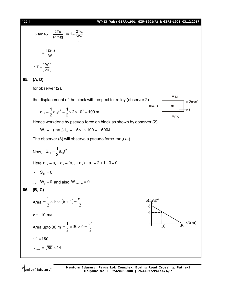| $[20]$ | WT-13 (Adv) GZRA-1901, GZR-1901(A) & GZRS-1901_03.12.2017                                                                                                                                                                                                                      |
|--------|--------------------------------------------------------------------------------------------------------------------------------------------------------------------------------------------------------------------------------------------------------------------------------|
|        | $\Rightarrow$ tan45° = $\frac{2T\alpha}{(dm)g}$ ⇒ 1 = $\frac{2T\alpha}{W\alpha}$                                                                                                                                                                                               |
|        | $1 = \frac{T(2\pi)}{M}$                                                                                                                                                                                                                                                        |
|        | $\therefore T = \left(\frac{W}{2\pi}\right)^n$                                                                                                                                                                                                                                 |
| 65.    | (A, D)                                                                                                                                                                                                                                                                         |
|        | for observer (2),                                                                                                                                                                                                                                                              |
|        | the displacement of the block with respect to trolley (observer 2)<br>$\begin{array}{ccc}\n& & & & \rightarrow & 2 \\ & & & & \rightarrow & 2 \\ & & & & \rightarrow & 6\n\end{array}$<br>$d_{12} = \frac{1}{2} a_{12} t^2 = \frac{1}{2} \times 2 \times 10^2 = 100 \text{ m}$ |
|        | Hence workdone by pseudo force on block as shown by observer (2),                                                                                                                                                                                                              |
|        | $W_2 = - (ma_2) d_{12} = -5 \times 1 \times 100 = -500 J$                                                                                                                                                                                                                      |
|        | The observer (3) will observe a pseudo force $ma_3(\leftarrow)$ .                                                                                                                                                                                                              |
|        | Now, $S_{13} = \frac{1}{2} a_{13} t^2$                                                                                                                                                                                                                                         |
|        | Here $a_{13} = a_1 - a_3 = (a_{12} + a_2) - a_3 = 2 + 1 - 3 = 0$                                                                                                                                                                                                               |
|        | $\therefore$ S <sub>13</sub> = 0                                                                                                                                                                                                                                               |
|        | $\therefore$ W <sub>3</sub> = 0 and also W <sub>pseudo</sub> = 0.                                                                                                                                                                                                              |
| 66.    | (B, C)                                                                                                                                                                                                                                                                         |
|        | Area = $\frac{1}{2} \times 10 \times (6 + 4) = \frac{v^2}{2}$<br>$a(m/s)^2$<br>6                                                                                                                                                                                               |
|        | 4<br>$v = 10$ m/s                                                                                                                                                                                                                                                              |
|        | $\blacktriangleright S(m)$<br>Area upto 30 m = $\frac{1}{2} \times 30 \times 6 = \frac{v^2}{2}$<br>30<br>10                                                                                                                                                                    |
|        | $v^2 = 180$                                                                                                                                                                                                                                                                    |
|        | $v_{\text{max}} = \sqrt{80} < 14$                                                                                                                                                                                                                                              |
|        |                                                                                                                                                                                                                                                                                |

Mentors<sup>®</sup> Eduserv<sup>®</sup>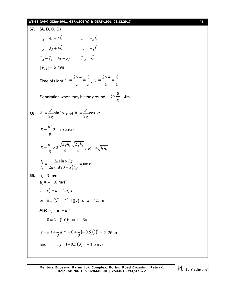## **WT-13 (Adv) GZRA-1901, GZR-1901(A) & GZRS-1901\_03.12.2017** [ **21** ]

| 67. (A, B, C, D)                                                                                       |
|--------------------------------------------------------------------------------------------------------|
| $\vec{v}_i = 4\hat{i} + 4\hat{k}$<br>$\vec{a}_4 = -g\hat{k}$                                           |
| $\vec{a}_v = -g\hat{k}$<br>$\vec{v}_e = 3\hat{j} + 4\hat{k}$                                           |
| $\vec{v}_4 - \vec{v}_8 = 4\hat{i} - 3\hat{j}$ $\vec{a}_{48} = \vec{O}$                                 |
| $ \vec{v}_{_{AB}}  = 5$ m/s                                                                            |
| Time of flight $t_A = \frac{2 \times 4}{g} = \frac{8}{g}$ , $t_B = \frac{2 \times 4}{g} = \frac{8}{g}$ |
| Separation when they hit the ground = $5 \times \frac{8}{9}$ = 4m                                      |
| <b>68.</b> $h_1 = \frac{u^2}{2g} \sin^2 \alpha$ and $h_2 = \frac{u^2}{2g} \cos^2 \alpha$               |
| $R = \frac{u^2}{2} 2 \sin \alpha \cos \alpha$                                                          |
| $R = \frac{u^2}{a} \times 2 \frac{\sqrt{2gh_1}}{4} \frac{\sqrt{2gh_2}}{4}$ , $R = 4\sqrt{h_1h_2}$      |
| $\frac{t_1}{t_2} = \frac{2u\sin\alpha/g}{2u\sin(90-\alpha)/g} = \tan\alpha$                            |
| 69. $u = 3$ m/s                                                                                        |
| $a_x = -1.0$ m/s <sup>2</sup>                                                                          |
| $\therefore v_x^2 = u_x^2 + 2a_x x$                                                                    |
| or $0 = (3)^2 + 2(-1)(x)$ or $x = 4.5$ m                                                               |
| Also $v_x = u_x + a_x t$                                                                               |
| $0 = 3 - (1.0)t$ or t = 3s                                                                             |
| $y = uy t + \frac{1}{2} ay t2 = 0 + \frac{1}{2} (-0.5)(3)2 = -2.25$ m                                  |
| and $v_y = a_y t = (-0.5)(3) = -1.5$ m/s                                                               |

Mentors<sup>e</sup> Eduserv<sup>-</sup>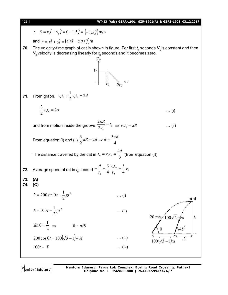![](_page_21_Figure_0.jpeg)

**Mentors Eduserv: Parus Lok Complex, Boring Road Crossing, Patna-1 Helpline No. : 9569668800 | 7544015993/4/6/7**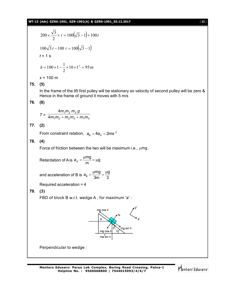## **WT-13 (Adv) GZRA-1901, GZR-1901(A) & GZRS-1901\_03.12.2017** [ **23** ]

$$
200 \times \frac{\sqrt{3}}{2} \times t = 100(\sqrt{3} - 1) + 100t
$$
  

$$
100\sqrt{3} t - 100 t = 100(\sqrt{3} - 1)
$$
  

$$
t = 1 s
$$
  

$$
h = 100 \times 1 - \frac{1}{2} \times 10 \times 1^2 = 95 m
$$

*x* = 100 m

# **75. (5)**

In the frame of the lift first pulley will be stationary so velocity of second pulley will be zero & Hence in the frame of ground it moves with 5 m/s

# **76. (8)**

$$
T = \frac{4m_1m_2m_3g}{4m_1m_2 + m_2m_3 + m_1m_3}
$$

## **77. (2)**

From constraint relation,  $a_{\rm B} = 4a_{\rm A} = 2 \text{ms}^{-2}$ 

## **78. (4)**

Force of friction between the two will be maximum i.e.,  $\mu$ mg.

Retardation of A is 
$$
a_A = \frac{\mu mg}{m} = \mu g
$$

and acceleration of B is  $\mathsf{a}_{\scriptscriptstyle\mathsf{B}}$  $a_B = \frac{\mu mg}{2} = \frac{\mu g}{2}$ 3m 3  $=\frac{\mu mg}{2}=\frac{\mu g}{2}$ 

Required acceleration = 4

**79. (3)**

FBD of block B w.r.t. wedge A , for maximum 'a' :

![](_page_22_Figure_16.jpeg)

Perpendicular to wedge :

![](_page_22_Picture_19.jpeg)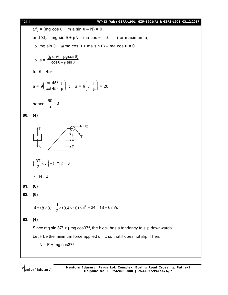![](_page_23_Figure_0.jpeg)